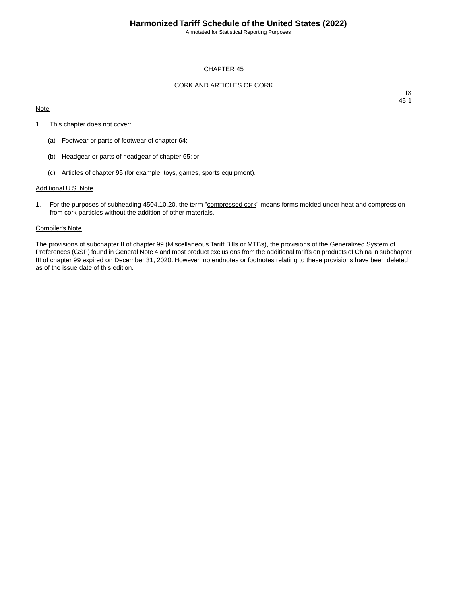Annotated for Statistical Reporting Purposes

## CHAPTER 45

## CORK AND ARTICLES OF CORK

### **Note**

IX 45-1

- 1. This chapter does not cover:
	- (a) Footwear or parts of footwear of chapter 64;
	- (b) Headgear or parts of headgear of chapter 65; or
	- (c) Articles of chapter 95 (for example, toys, games, sports equipment).

#### Additional U.S. Note

1. For the purposes of subheading 4504.10.20, the term "compressed cork" means forms molded under heat and compression from cork particles without the addition of other materials.

#### Compiler's Note

The provisions of subchapter II of chapter 99 (Miscellaneous Tariff Bills or MTBs), the provisions of the Generalized System of Preferences (GSP) found in General Note 4 and most product exclusions from the additional tariffs on products of China in subchapter III of chapter 99 expired on December 31, 2020. However, no endnotes or footnotes relating to these provisions have been deleted as of the issue date of this edition.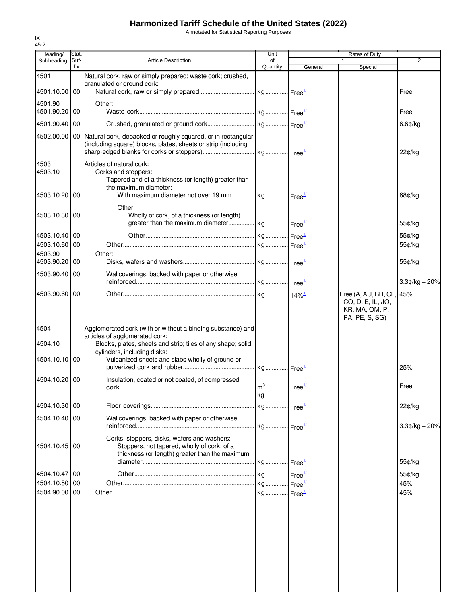# **Harmonized Tariff Schedule of the United States (2022)**

Annotated for Statistical Reporting Purposes

| Heading/                 | Stat.       |                                                                                                                                  | Unit                                    |         | Rates of Duty                                                                     | $\overline{2}$  |
|--------------------------|-------------|----------------------------------------------------------------------------------------------------------------------------------|-----------------------------------------|---------|-----------------------------------------------------------------------------------|-----------------|
| Subheading               | Suf-<br>fix | <b>Article Description</b>                                                                                                       | of<br>Quantity                          | General | $\mathbf{1}$<br>Special                                                           |                 |
| 4501                     |             | Natural cork, raw or simply prepared; waste cork; crushed,                                                                       |                                         |         |                                                                                   |                 |
| 4501.10.00 00            |             | granulated or ground cork:                                                                                                       |                                         |         |                                                                                   |                 |
|                          |             |                                                                                                                                  |                                         |         |                                                                                   | Free            |
| 4501.90<br>4501.90.20 00 |             | Other:                                                                                                                           |                                         |         |                                                                                   | Free            |
|                          |             |                                                                                                                                  |                                         |         |                                                                                   |                 |
| 4501.90.40 00            |             |                                                                                                                                  |                                         |         |                                                                                   | $6.6$ ¢/kg      |
| 4502.00.00               |             | 00 Natural cork, debacked or roughly squared, or in rectangular<br>(including square) blocks, plates, sheets or strip (including |                                         |         |                                                                                   | 22¢/kg          |
| 4503<br>4503.10          |             | Articles of natural cork:<br>Corks and stoppers:<br>Tapered and of a thickness (or length) greater than<br>the maximum diameter: |                                         |         |                                                                                   |                 |
| 4503.10.20 00            |             | With maximum diameter not over 19 mm kg Free <sup>14</sup>                                                                       |                                         |         |                                                                                   | 68¢/kg          |
| 4503.10.30 00            |             | Other:<br>Wholly of cork, of a thickness (or length)<br>greater than the maximum diameter kg Free <sup>14</sup>                  |                                         |         |                                                                                   | 55¢/kg          |
| 4503.10.40   00          |             |                                                                                                                                  |                                         |         |                                                                                   | 55¢/kg          |
| 4503.10.60 00            |             |                                                                                                                                  |                                         |         |                                                                                   | 55¢/kg          |
| 4503.90                  |             | Other:                                                                                                                           |                                         |         |                                                                                   |                 |
| 4503.90.20 00            |             |                                                                                                                                  |                                         |         |                                                                                   | 55¢/kg          |
| 4503.90.40 00            |             | Wallcoverings, backed with paper or otherwise                                                                                    |                                         |         |                                                                                   |                 |
|                          |             |                                                                                                                                  |                                         |         |                                                                                   | $3.3¢/kg + 20%$ |
| 4503.90.60 00            |             |                                                                                                                                  |                                         |         | Free (A, AU, BH, CL, 45%<br>CO, D, E, IL, JO,<br>KR, MA, OM, P,<br>PA, PE, S, SG) |                 |
| 4504                     |             | Agglomerated cork (with or without a binding substance) and                                                                      |                                         |         |                                                                                   |                 |
| 4504.10                  |             | articles of agglomerated cork:<br>Blocks, plates, sheets and strip; tiles of any shape; solid                                    |                                         |         |                                                                                   |                 |
| 4504.10.10 00            |             | cylinders, including disks:<br>Vulcanized sheets and slabs wholly of ground or                                                   |                                         |         |                                                                                   |                 |
|                          |             |                                                                                                                                  |                                         |         |                                                                                   | 25%             |
| 4504.10.20 00            |             | Insulation, coated or not coated, of compressed                                                                                  |                                         |         |                                                                                   |                 |
|                          |             |                                                                                                                                  | m <sup>3</sup> Free <sup>1/</sup><br>kg |         |                                                                                   | Free            |
| 4504.10.30 00            |             |                                                                                                                                  |                                         |         |                                                                                   | 22¢/kg          |
|                          |             |                                                                                                                                  |                                         |         |                                                                                   |                 |
| 4504.10.40 00            |             | Wallcoverings, backed with paper or otherwise                                                                                    |                                         |         |                                                                                   | $3.3¢/kg + 20%$ |
| 4504.10.45 00            |             | Corks, stoppers, disks, wafers and washers:<br>Stoppers, not tapered, wholly of cork, of a                                       |                                         |         |                                                                                   |                 |
|                          |             | thickness (or length) greater than the maximum                                                                                   |                                         |         |                                                                                   |                 |
|                          |             |                                                                                                                                  |                                         |         |                                                                                   | 55¢/kg          |
| 4504.10.47 00            |             |                                                                                                                                  |                                         |         |                                                                                   | 55¢/kg          |
| 4504.10.50<br>4504.90.00 | 00<br>00    |                                                                                                                                  |                                         |         |                                                                                   | 45%<br>45%      |
|                          |             |                                                                                                                                  |                                         |         |                                                                                   |                 |
|                          |             |                                                                                                                                  |                                         |         |                                                                                   |                 |
|                          |             |                                                                                                                                  |                                         |         |                                                                                   |                 |
|                          |             |                                                                                                                                  |                                         |         |                                                                                   |                 |
|                          |             |                                                                                                                                  |                                         |         |                                                                                   |                 |
|                          |             |                                                                                                                                  |                                         |         |                                                                                   |                 |
|                          |             |                                                                                                                                  |                                         |         |                                                                                   |                 |
|                          |             |                                                                                                                                  |                                         |         |                                                                                   |                 |
|                          |             |                                                                                                                                  |                                         |         |                                                                                   |                 |
|                          |             |                                                                                                                                  |                                         |         |                                                                                   |                 |

IX